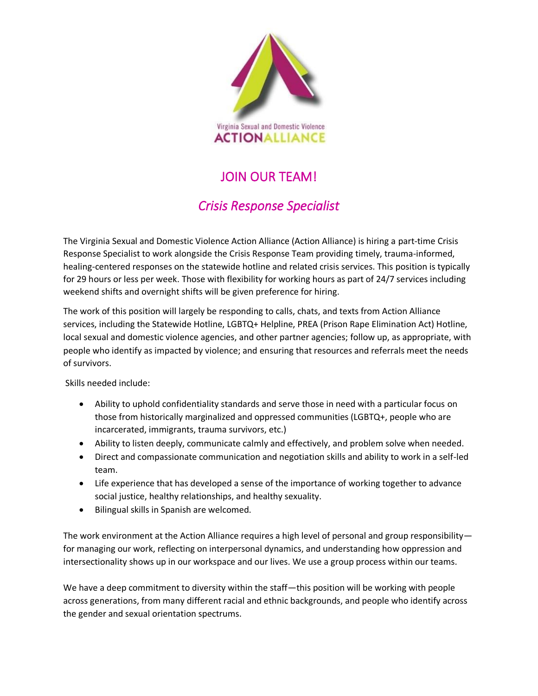

## JOIN OUR TEAM!

## *Crisis Response Specialist*

The Virginia Sexual and Domestic Violence Action Alliance (Action Alliance) is hiring a part-time Crisis Response Specialist to work alongside the Crisis Response Team providing timely, trauma-informed, healing-centered responses on the statewide hotline and related crisis services. This position is typically for 29 hours or less per week. Those with flexibility for working hours as part of 24/7 services including weekend shifts and overnight shifts will be given preference for hiring.

The work of this position will largely be responding to calls, chats, and texts from Action Alliance services, including the Statewide Hotline, LGBTQ+ Helpline, PREA (Prison Rape Elimination Act) Hotline, local sexual and domestic violence agencies, and other partner agencies; follow up, as appropriate, with people who identify as impacted by violence; and ensuring that resources and referrals meet the needs of survivors.

Skills needed include:

- Ability to uphold confidentiality standards and serve those in need with a particular focus on those from historically marginalized and oppressed communities (LGBTQ+, people who are incarcerated, immigrants, trauma survivors, etc.)
- Ability to listen deeply, communicate calmly and effectively, and problem solve when needed.
- Direct and compassionate communication and negotiation skills and ability to work in a self-led team.
- Life experience that has developed a sense of the importance of working together to advance social justice, healthy relationships, and healthy sexuality.
- Bilingual skills in Spanish are welcomed.

The work environment at the Action Alliance requires a high level of personal and group responsibility for managing our work, reflecting on interpersonal dynamics, and understanding how oppression and intersectionality shows up in our workspace and our lives. We use a group process within our teams. 

We have a deep commitment to diversity within the staff—this position will be working with people across generations, from many different racial and ethnic backgrounds, and people who identify across the gender and sexual orientation spectrums.